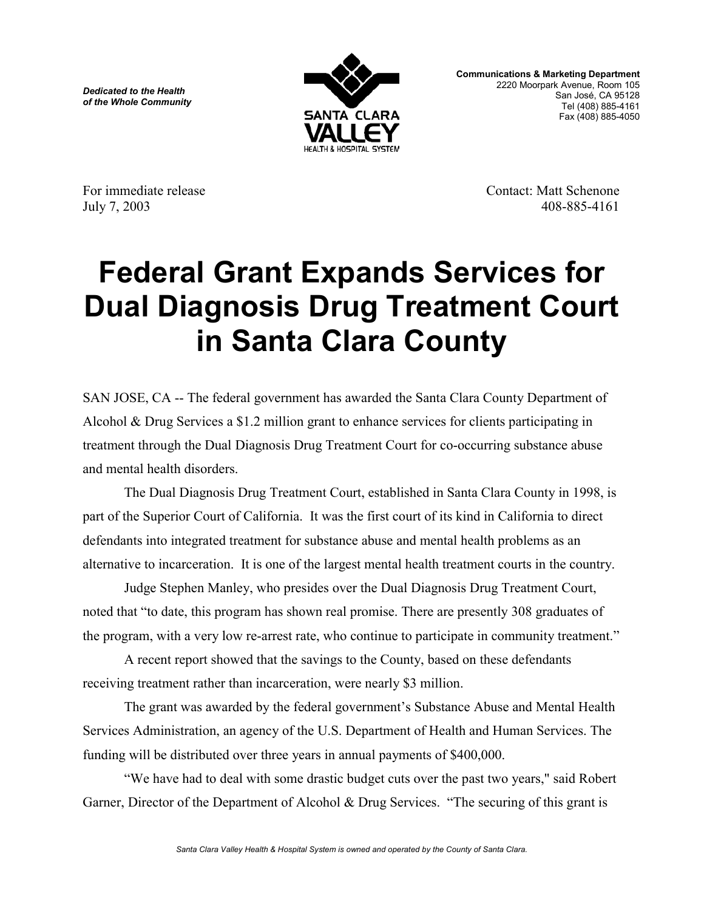*Dedicated to the Health of the Whole Community*



**Communications & Marketing Department** 2220 Moorpark Avenue, Room 105 San José, CA 95128 Tel (408) 885-4161 Fax (408) 885-4050

For immediate release Contact: Matt Schenone July 7, 2003 408-885-4161

## **Federal Grant Expands Services for Dual Diagnosis Drug Treatment Court in Santa Clara County**

SAN JOSE, CA -- The federal government has awarded the Santa Clara County Department of Alcohol & Drug Services a \$1.2 million grant to enhance services for clients participating in treatment through the Dual Diagnosis Drug Treatment Court for co-occurring substance abuse and mental health disorders.

The Dual Diagnosis Drug Treatment Court, established in Santa Clara County in 1998, is part of the Superior Court of California. It was the first court of its kind in California to direct defendants into integrated treatment for substance abuse and mental health problems as an alternative to incarceration. It is one of the largest mental health treatment courts in the country.

Judge Stephen Manley, who presides over the Dual Diagnosis Drug Treatment Court, noted that "to date, this program has shown real promise. There are presently 308 graduates of the program, with a very low re-arrest rate, who continue to participate in community treatment."

A recent report showed that the savings to the County, based on these defendants receiving treatment rather than incarceration, were nearly \$3 million.

The grant was awarded by the federal government's Substance Abuse and Mental Health Services Administration, an agency of the U.S. Department of Health and Human Services. The funding will be distributed over three years in annual payments of \$400,000.

"We have had to deal with some drastic budget cuts over the past two years," said Robert Garner, Director of the Department of Alcohol & Drug Services. "The securing of this grant is